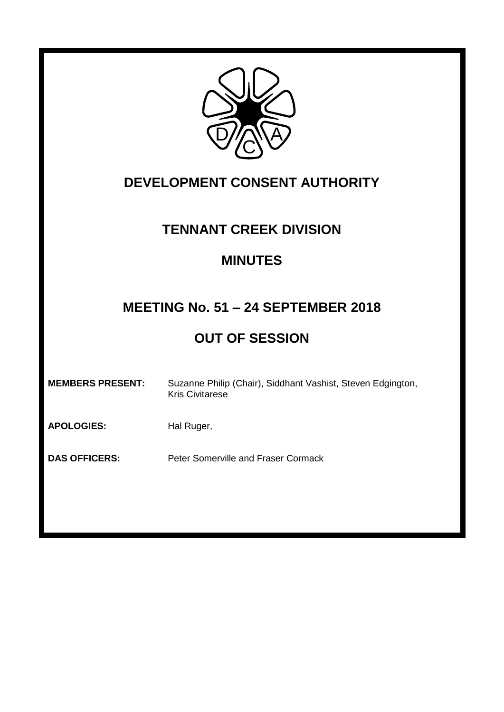

# **DEVELOPMENT CONSENT AUTHORITY**

### **TENNANT CREEK DIVISION**

### **MINUTES**

# **MEETING No. 51 – 24 SEPTEMBER 2018**

# **OUT OF SESSION**

APOLOGIES: Hal Ruger,

**DAS OFFICERS:** Peter Somerville and Fraser Cormack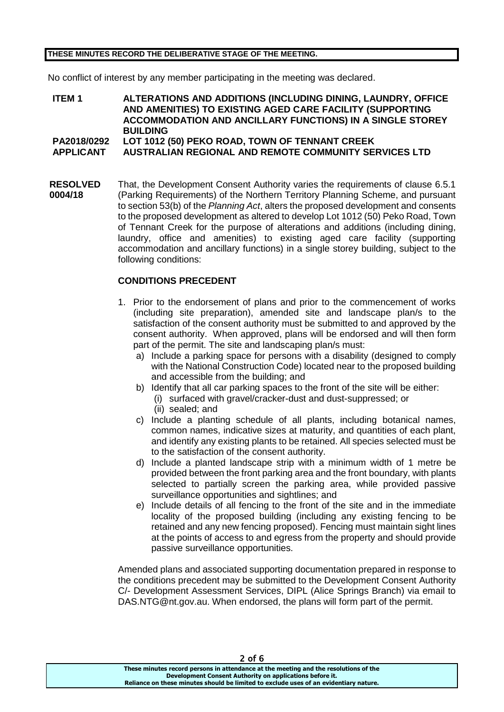#### **THESE MINUTES RECORD THE DELIBERATIVE STAGE OF THE MEETING.**

No conflict of interest by any member participating in the meeting was declared.

**ITEM 1 ALTERATIONS AND ADDITIONS (INCLUDING DINING, LAUNDRY, OFFICE AND AMENITIES) TO EXISTING AGED CARE FACILITY (SUPPORTING ACCOMMODATION AND ANCILLARY FUNCTIONS) IN A SINGLE STOREY BUILDING PA2018/0292 LOT 1012 (50) PEKO ROAD, TOWN OF TENNANT CREEK APPLICANT AUSTRALIAN REGIONAL AND REMOTE COMMUNITY SERVICES LTD**

**RESOLVED 0004/18** That, the Development Consent Authority varies the requirements of clause 6.5.1 (Parking Requirements) of the Northern Territory Planning Scheme, and pursuant to section 53(b) of the *Planning Act*, alters the proposed development and consents to the proposed development as altered to develop Lot 1012 (50) Peko Road, Town of Tennant Creek for the purpose of alterations and additions (including dining, laundry, office and amenities) to existing aged care facility (supporting accommodation and ancillary functions) in a single storey building, subject to the following conditions:

#### **CONDITIONS PRECEDENT**

- 1. Prior to the endorsement of plans and prior to the commencement of works (including site preparation), amended site and landscape plan/s to the satisfaction of the consent authority must be submitted to and approved by the consent authority. When approved, plans will be endorsed and will then form part of the permit. The site and landscaping plan/s must:
	- a) Include a parking space for persons with a disability (designed to comply with the National Construction Code) located near to the proposed building and accessible from the building; and
	- b) Identify that all car parking spaces to the front of the site will be either:
		- (i) surfaced with gravel/cracker-dust and dust-suppressed; or
		- (ii) sealed; and
	- c) Include a planting schedule of all plants, including botanical names, common names, indicative sizes at maturity, and quantities of each plant, and identify any existing plants to be retained. All species selected must be to the satisfaction of the consent authority.
	- d) Include a planted landscape strip with a minimum width of 1 metre be provided between the front parking area and the front boundary, with plants selected to partially screen the parking area, while provided passive surveillance opportunities and sightlines; and
	- e) Include details of all fencing to the front of the site and in the immediate locality of the proposed building (including any existing fencing to be retained and any new fencing proposed). Fencing must maintain sight lines at the points of access to and egress from the property and should provide passive surveillance opportunities.

Amended plans and associated supporting documentation prepared in response to the conditions precedent may be submitted to the Development Consent Authority C/- Development Assessment Services, DIPL (Alice Springs Branch) via email to DAS.NTG@nt.gov.au. When endorsed, the plans will form part of the permit.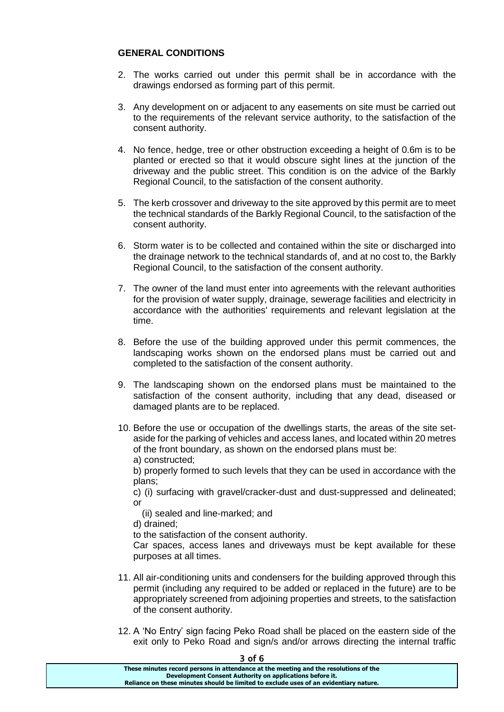#### **GENERAL CONDITIONS**

- 2. The works carried out under this permit shall be in accordance with the drawings endorsed as forming part of this permit.
- 3. Any development on or adjacent to any easements on site must be carried out to the requirements of the relevant service authority, to the satisfaction of the consent authority.
- 4. No fence, hedge, tree or other obstruction exceeding a height of 0.6m is to be planted or erected so that it would obscure sight lines at the junction of the driveway and the public street. This condition is on the advice of the Barkly Regional Council, to the satisfaction of the consent authority.
- 5. The kerb crossover and driveway to the site approved by this permit are to meet the technical standards of the Barkly Regional Council, to the satisfaction of the consent authority.
- 6. Storm water is to be collected and contained within the site or discharged into the drainage network to the technical standards of, and at no cost to, the Barkly Regional Council, to the satisfaction of the consent authority.
- 7. The owner of the land must enter into agreements with the relevant authorities for the provision of water supply, drainage, sewerage facilities and electricity in accordance with the authorities' requirements and relevant legislation at the time.
- 8. Before the use of the building approved under this permit commences, the landscaping works shown on the endorsed plans must be carried out and completed to the satisfaction of the consent authority.
- 9. The landscaping shown on the endorsed plans must be maintained to the satisfaction of the consent authority, including that any dead, diseased or damaged plants are to be replaced.
- 10. Before the use or occupation of the dwellings starts, the areas of the site setaside for the parking of vehicles and access lanes, and located within 20 metres of the front boundary, as shown on the endorsed plans must be: a) constructed;

b) properly formed to such levels that they can be used in accordance with the plans;

c) (i) surfacing with gravel/cracker-dust and dust-suppressed and delineated; or

(ii) sealed and line-marked; and

d) drained;

to the satisfaction of the consent authority.

Car spaces, access lanes and driveways must be kept available for these purposes at all times.

- 11. All air-conditioning units and condensers for the building approved through this permit (including any required to be added or replaced in the future) are to be appropriately screened from adjoining properties and streets, to the satisfaction of the consent authority.
- 12. A 'No Entry' sign facing Peko Road shall be placed on the eastern side of the exit only to Peko Road and sign/s and/or arrows directing the internal traffic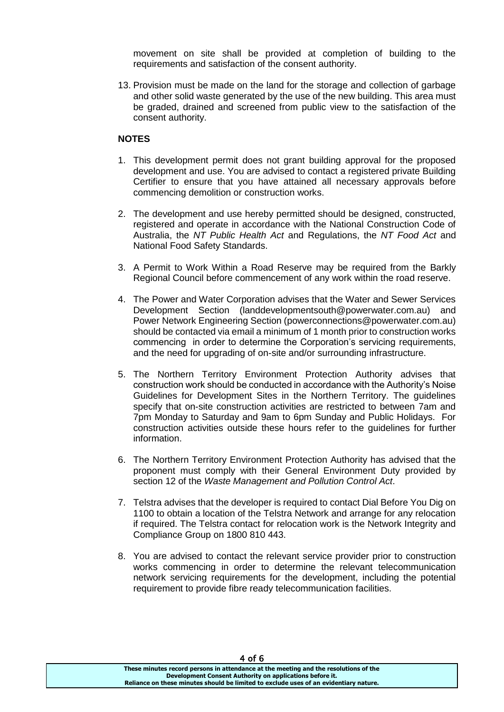movement on site shall be provided at completion of building to the requirements and satisfaction of the consent authority.

13. Provision must be made on the land for the storage and collection of garbage and other solid waste generated by the use of the new building. This area must be graded, drained and screened from public view to the satisfaction of the consent authority.

#### **NOTES**

- 1. This development permit does not grant building approval for the proposed development and use. You are advised to contact a registered private Building Certifier to ensure that you have attained all necessary approvals before commencing demolition or construction works.
- 2. The development and use hereby permitted should be designed, constructed, registered and operate in accordance with the National Construction Code of Australia, the *NT Public Health Act* and Regulations, the *NT Food Act* and National Food Safety Standards.
- 3. A Permit to Work Within a Road Reserve may be required from the Barkly Regional Council before commencement of any work within the road reserve.
- 4. The Power and Water Corporation advises that the Water and Sewer Services Development Section (landdevelopmentsouth@powerwater.com.au) and Power Network Engineering Section (powerconnections@powerwater.com.au) should be contacted via email a minimum of 1 month prior to construction works commencing in order to determine the Corporation's servicing requirements, and the need for upgrading of on-site and/or surrounding infrastructure.
- 5. The Northern Territory Environment Protection Authority advises that construction work should be conducted in accordance with the Authority's Noise Guidelines for Development Sites in the Northern Territory. The guidelines specify that on-site construction activities are restricted to between 7am and 7pm Monday to Saturday and 9am to 6pm Sunday and Public Holidays. For construction activities outside these hours refer to the guidelines for further information.
- 6. The Northern Territory Environment Protection Authority has advised that the proponent must comply with their General Environment Duty provided by section 12 of the *Waste Management and Pollution Control Act*.
- 7. Telstra advises that the developer is required to contact Dial Before You Dig on 1100 to obtain a location of the Telstra Network and arrange for any relocation if required. The Telstra contact for relocation work is the Network Integrity and Compliance Group on 1800 810 443.
- 8. You are advised to contact the relevant service provider prior to construction works commencing in order to determine the relevant telecommunication network servicing requirements for the development, including the potential requirement to provide fibre ready telecommunication facilities.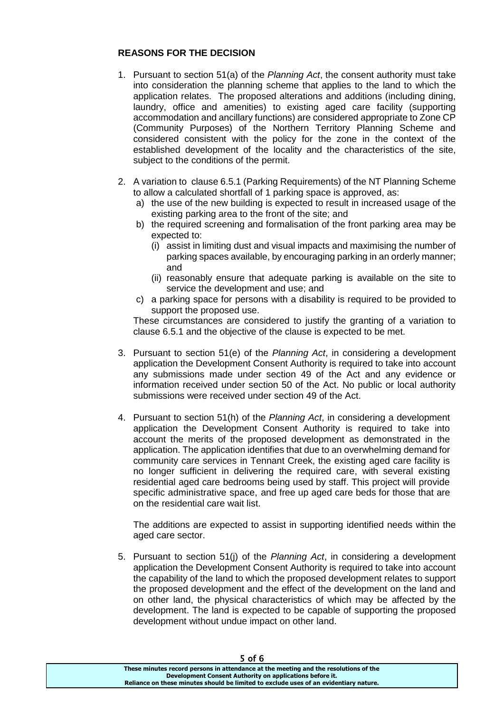### **REASONS FOR THE DECISION**

- 1. Pursuant to section 51(a) of the *Planning Act*, the consent authority must take into consideration the planning scheme that applies to the land to which the application relates. The proposed alterations and additions (including dining, laundry, office and amenities) to existing aged care facility (supporting accommodation and ancillary functions) are considered appropriate to Zone CP (Community Purposes) of the Northern Territory Planning Scheme and considered consistent with the policy for the zone in the context of the established development of the locality and the characteristics of the site, subject to the conditions of the permit.
- 2. A variation to clause 6.5.1 (Parking Requirements) of the NT Planning Scheme to allow a calculated shortfall of 1 parking space is approved, as:
	- a) the use of the new building is expected to result in increased usage of the existing parking area to the front of the site; and
	- b) the required screening and formalisation of the front parking area may be expected to:
		- (i) assist in limiting dust and visual impacts and maximising the number of parking spaces available, by encouraging parking in an orderly manner; and
		- (ii) reasonably ensure that adequate parking is available on the site to service the development and use; and
	- c) a parking space for persons with a disability is required to be provided to support the proposed use.

These circumstances are considered to justify the granting of a variation to clause 6.5.1 and the objective of the clause is expected to be met.

- 3. Pursuant to section 51(e) of the *Planning Act*, in considering a development application the Development Consent Authority is required to take into account any submissions made under section 49 of the Act and any evidence or information received under section 50 of the Act. No public or local authority submissions were received under section 49 of the Act.
- 4. Pursuant to section 51(h) of the *Planning Act*, in considering a development application the Development Consent Authority is required to take into account the merits of the proposed development as demonstrated in the application. The application identifies that due to an overwhelming demand for community care services in Tennant Creek, the existing aged care facility is no longer sufficient in delivering the required care, with several existing residential aged care bedrooms being used by staff. This project will provide specific administrative space, and free up aged care beds for those that are on the residential care wait list.

The additions are expected to assist in supporting identified needs within the aged care sector.

5. Pursuant to section 51(j) of the *Planning Act*, in considering a development application the Development Consent Authority is required to take into account the capability of the land to which the proposed development relates to support the proposed development and the effect of the development on the land and on other land, the physical characteristics of which may be affected by the development. The land is expected to be capable of supporting the proposed development without undue impact on other land.